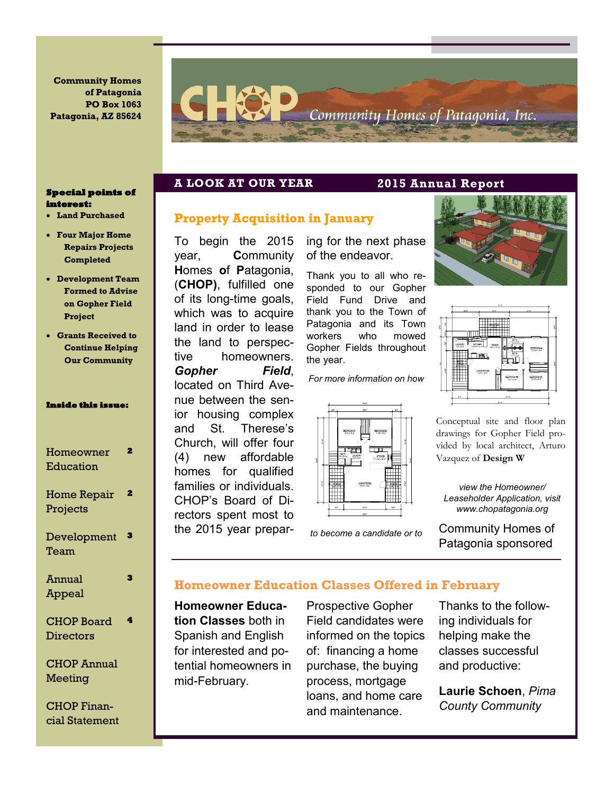**Community Homes of Patagonia PO Box 1063 Patagonia, AZ 85624**



#### **Special points of interest:**

- **Land Purchased**
- **Four Major Home Repairs Projects Completed**
- **Development Team Formed to Advise on Gopher Field Project**
- **Grants Received to Continue Helping Our Community**

#### **Inside this issue:**

| Homeowner<br>Education         | 2 |
|--------------------------------|---|
| <b>Home Repair</b><br>Projects | 2 |
| Development<br>Team            | з |
| Annual<br>Appeal               | 3 |
| <b>CHOP Board</b><br>Directors | 4 |

CHOP Annual Meeting

CHOP Financial Statement

### **A LOOK AT OUR YEAR 2015 Annual Report**

# **Property Acquisition in January**

To begin the 2015 year, **C**ommunity **H**omes **o**f **P**atagonia, (**CHOP)**, fulfilled one of its long-time goals, which was to acquire land in order to lease the land to perspective homeowners. *Gopher Field*, located on Third Avenue between the senior housing complex and St. Therese's Church, will offer four (4) new affordable homes for qualified families or individuals. CHOP's Board of Directors spent most to the 2015 year prepar-

ing for the next phase of the endeavor.

Thank you to all who responded to our Gopher Field Fund Drive and thank you to the Town of Patagonia and its Town workers who mowed Gopher Fields throughout the year.

*For more information on how* 



*to become a candidate or to* 





Conceptual site and floor plan drawings for Gopher Field provided by local architect, Arturo Vazquez of **Design W**

*view the Homeowner/ Leaseholder Application, visit www.chopatagonia.org*

Community Homes of Patagonia sponsored

# **Homeowner Education Classes Offered in February**

**Homeowner Education Classes** both in Spanish and English for interested and potential homeowners in mid-February.

Prospective Gopher Field candidates were informed on the topics of: financing a home purchase, the buying process, mortgage loans, and home care and maintenance.

Thanks to the following individuals for helping make the classes successful and productive:

**Laurie Schoen**, *Pima County Community*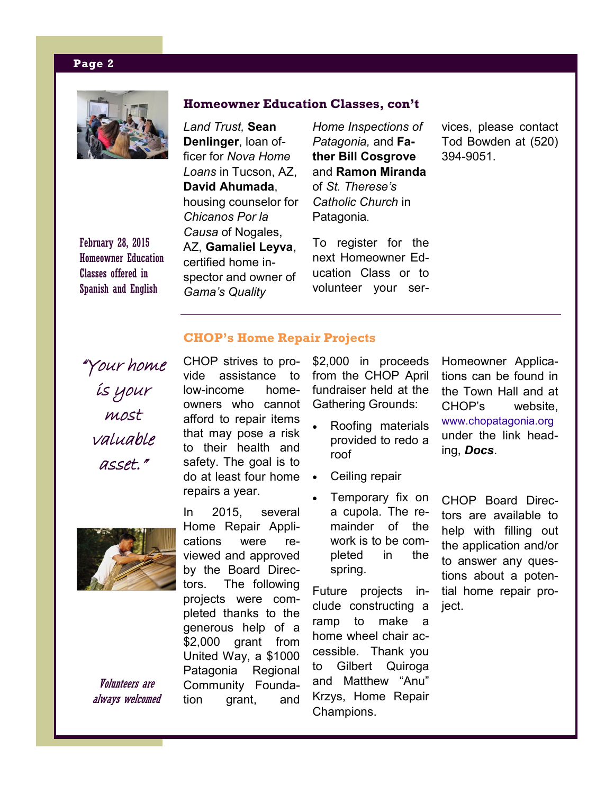### **Page 2**



February 28, 2015 Homeowner Education Classes offered in Spanish and English

*Land Trust,* **Sean Denlinger**, loan officer for *Nova Home Loans* in Tucson, AZ, **David Ahumada**, housing counselor for *Chicanos Por la Causa* of Nogales, AZ, **Gamaliel Leyva**, certified home inspector and owner of *Gama's Quality* 

*Home Inspections of Patagonia,* and **Father Bill Cosgrove**  and **Ramon Miranda**  of *St. Therese's Catholic Church* in Patagonia.

To register for the next Homeowner Education Class or to volunteer your services, please contact Tod Bowden at (520) 394-9051.

# **CHOP's Home Repair Projects**

**Homeowner Education Classes, con't**

"Your home is your most valuable asset."



Volunteers are always welcomed CHOP strives to provide assistance to low-income homeowners who cannot afford to repair items that may pose a risk to their health and safety. The goal is to do at least four home repairs a year.

In 2015, several Home Repair Applications were reviewed and approved by the Board Directors. The following projects were completed thanks to the generous help of a \$2,000 grant from United Way, a \$1000 Patagonia Regional Community Foundation grant, and

\$2,000 in proceeds from the CHOP April fundraiser held at the Gathering Grounds:

- Roofing materials provided to redo a roof
- Ceiling repair
- Temporary fix on a cupola. The remainder of the work is to be completed in the spring.

Future projects include constructing a ramp to make a home wheel chair accessible. Thank you to Gilbert Quiroga and Matthew "Anu" Krzys, Home Repair Champions.

Homeowner Applications can be found in the Town Hall and at CHOP's website, www.chopatagonia.org under the link heading, *Docs*.

CHOP Board Directors are available to help with filling out the application and/or to answer any questions about a potential home repair proiect.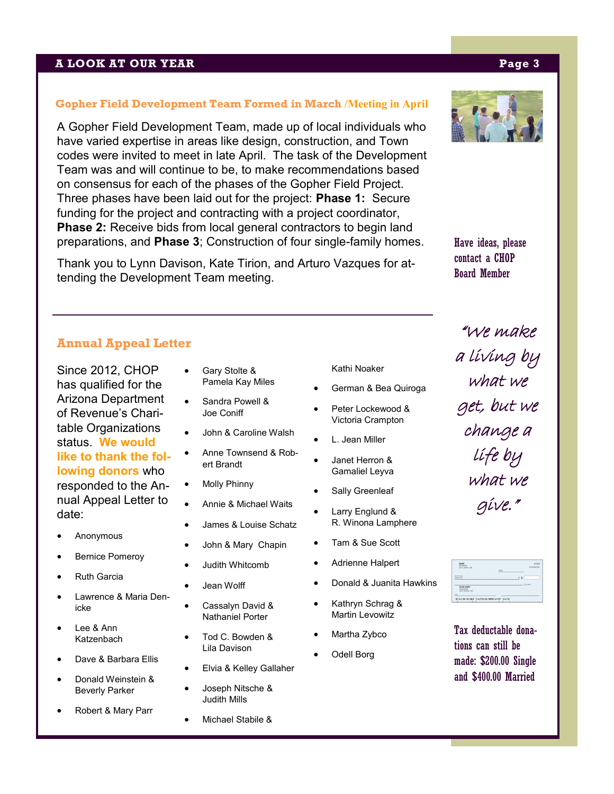### **A LOOK AT OUR YEAR Page 3**

#### **Gopher Field Development Team Formed in March /Meeting in April**

A Gopher Field Development Team, made up of local individuals who have varied expertise in areas like design, construction, and Town codes were invited to meet in late April. The task of the Development Team was and will continue to be, to make recommendations based on consensus for each of the phases of the Gopher Field Project. Three phases have been laid out for the project: **Phase 1:** Secure funding for the project and contracting with a project coordinator, **Phase 2:** Receive bids from local general contractors to begin land preparations, and **Phase 3**; Construction of four single-family homes.

Thank you to Lynn Davison, Kate Tirion, and Arturo Vazques for attending the Development Team meeting.

#### Kathi Noaker

- German & Bea Quiroga
- Peter Lockewood & Victoria Crampton

• Janet Herron &

- L. Jean Miller
- Gamaliel Leyva
- Sally Greenleaf
- Larry Englund & R. Winona Lamphere
- Tam & Sue Scott
- Adrienne Halpert
- Donald & Juanita Hawkins
- Kathryn Schrag & Martin Levowitz
- Martha Zybco
- Odell Borg

# "We make a living by what we get, but we change a life by what we give."

NAME<br>ADDRESS<br>CITY, STATE ZIP MK10 THE BANK NAME 40123456784 012345678901234 0123

Tax deductable donations can still be made: \$200.00 Single and \$400.00 Married

# **Annual Appeal Letter**

Since 2012, CHOP has qualified for the Arizona Department of Revenue's Charitable Organizations status. **We would like to thank the following donors** who responded to the Annual Appeal Letter to date:

- Anonymous
- Bernice Pomeroy
- **Ruth Garcia**
- Lawrence & Maria Denicke
- Lee & Ann Katzenbach
- Dave & Barbara Ellis
- Donald Weinstein & Beverly Parker
- Robert & Mary Parr
- Gary Stolte & Pamela Kay Miles
- Sandra Powell & Joe Coniff
- John & Caroline Walsh
- Anne Townsend & Robert Brandt
- **Molly Phinny**
- Annie & Michael Waits
- James & Louise Schatz
- John & Mary Chapin
- Judith Whitcomb
- Jean Wolff
- Cassalyn David & Nathaniel Porter
- Tod C. Bowden & Lila Davison
	- Elvia & Kelley Gallaher
- Joseph Nitsche & Judith Mills
	- Michael Stabile &



Have ideas, please contact a CHOP Board Member